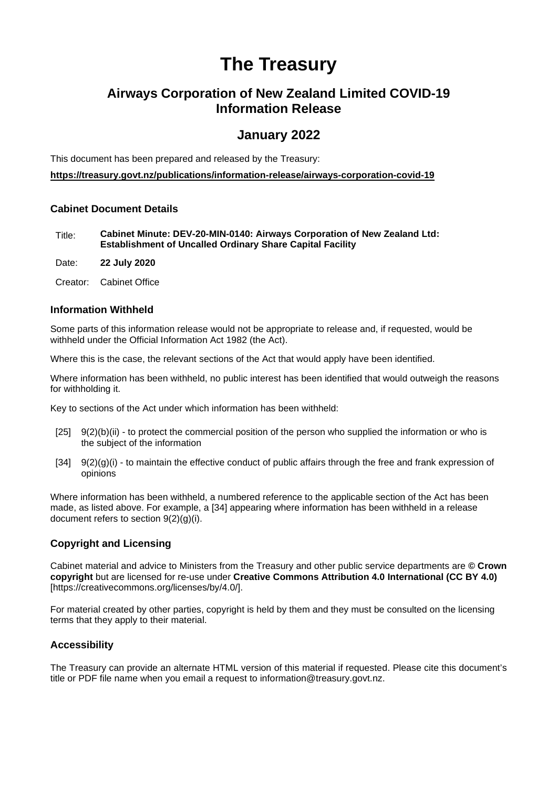# **The Treasury**

## **Airways Corporation of New Zealand Limited COVID-19 Information Release**

### **January 2022**

This document has been prepared and released by the Treasury:

**https://treasury.govt.nz/publications/information-release/airways-corporation-covid-19** 

### **Cabinet Document Details**

Title: **Cabinet Minute: DEV-20-MIN-0140: Airways Corporation of New Zealand Ltd: Establishment of Uncalled Ordinary Share Capital Facility**

Date: **22 July 2020** 

Creator: Cabinet Office

#### **Information Withheld**

Some parts of this information release would not be appropriate to release and, if requested, would be withheld under the Official Information Act 1982 (the Act).

Where this is the case, the relevant sections of the Act that would apply have been identified.

Where information has been withheld, no public interest has been identified that would outweigh the reasons for withholding it.

Key to sections of the Act under which information has been withheld:

- [25] 9(2)(b)(ii) to protect the commercial position of the person who supplied the information or who is the subject of the information
- $[34]$  9(2)(g)(i) to maintain the effective conduct of public affairs through the free and frank expression of opinions

Where information has been withheld, a numbered reference to the applicable section of the Act has been made, as listed above. For example, a [34] appearing where information has been withheld in a release document refers to section 9(2)(g)(i).

#### **Copyright and Licensing**

Cabinet material and advice to Ministers from the Treasury and other public service departments are **© Crown copyright** but are licensed for re-use under **Creative Commons Attribution 4.0 International (CC BY 4.0)**  [https://creativecommons.org/licenses/by/4.0/].

For material created by other parties, copyright is held by them and they must be consulted on the licensing terms that they apply to their material.

#### **Accessibility**

The Treasury can provide an alternate HTML version of this material if requested. Please cite this document's title or PDF file name when you email a request to information@treasury.govt.nz.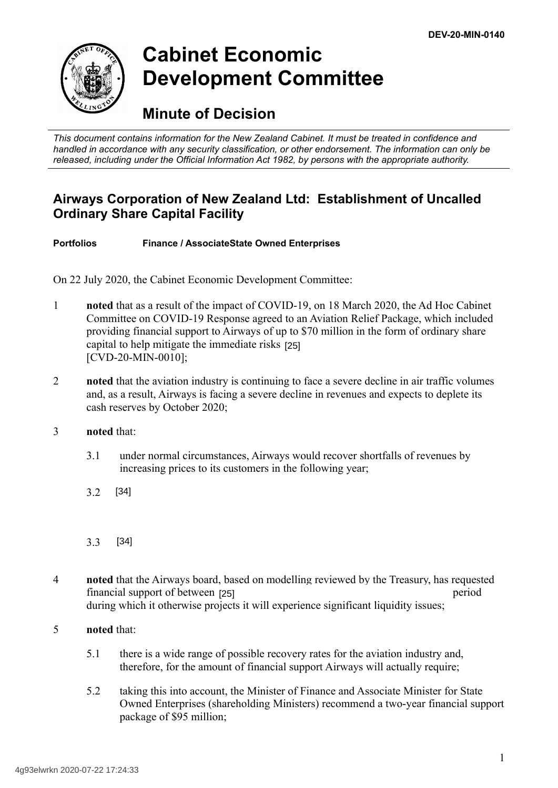

# **Cabinet Economic Development Committee**

# **Minute of Decision**

*This document contains information for the New Zealand Cabinet. It must be treated in confidence and handled in accordance with any security classification, or other endorsement. The information can only be released, including under the Official Information Act 1982, by persons with the appropriate authority.*

# **Airways Corporation of New Zealand Ltd: Establishment of Uncalled Ordinary Share Capital Facility**

**Portfolios Finance / AssociateState Owned Enterprises**

On 22 July 2020, the Cabinet Economic Development Committee:

- 1 **noted** that as a result of the impact of COVID-19, on 18 March 2020, the Ad Hoc Cabinet Committee on COVID-19 Response agreed to an Aviation Relief Package, which included providing financial support to Airways of up to \$70 million in the form of ordinary share capital to help mitigate the immediate risks [25] [CVD-20-MIN-0010];
- 2 **noted** that the aviation industry is continuing to face a severe decline in air traffic volumes and, as a result, Airways is facing a severe decline in revenues and expects to deplete its cash reserves by October 2020;
- 3 **noted** that:
	- 3.1 under normal circumstances, Airways would recover shortfalls of revenues by increasing prices to its customers in the following year;
	- 3.2 [34]
	- 3.3 [34]
- 4 **noted** that the Airways board, based on modelling reviewed by the Treasury, has requested financial support of between [25] period period during which it otherwise projects it will experience significant liquidity issues;
- 5 **noted** that:
	- 5.1 there is a wide range of possible recovery rates for the aviation industry and, therefore, for the amount of financial support Airways will actually require;
	- 5.2 taking this into account, the Minister of Finance and Associate Minister for State Owned Enterprises (shareholding Ministers) recommend a two-year financial support package of \$95 million;